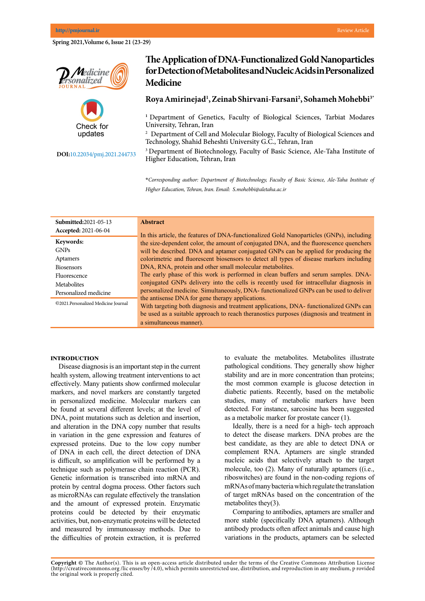**Spring 2021,Volume 6, Issue 21 (23-29)**





**DOI:**10.22034/pmj.2021.244733

# **The Application of DNA-Functionalized Gold Nanoparticles for Detection of Metabolites and Nucleic Acids in Personalized Medicine**

## **Roya Amirinejad1 , Zeinab Shirvani-Farsani2 , Sohameh Mohebbi3\***

<sup>1</sup> Department of Genetics, Faculty of Biological Sciences, Tarbiat Modares University, Tehran, Iran

2 Department of Cell and Molecular Biology, Faculty of Biological Sciences and Technology, Shahid Beheshti University G.C., Tehran, Iran

<sup>3</sup> Department of Biotechnology, Faculty of Basic Science, Ale-Taha Institute of Higher Education, Tehran, Iran

**\****Corresponding author: Department of Biotechnology, Faculty of Basic Science, Ale-Taha Institute of Higher Education, Tehran, Iran. Email: S.mohebbi@aletaha.ac.ir*

| Submitted: 2021-05-13               | <b>Abstract</b>                                                                                                                            |
|-------------------------------------|--------------------------------------------------------------------------------------------------------------------------------------------|
| <b>Accepted: 2021-06-04</b>         | In this article, the features of DNA-functionalized Gold Nanoparticles (GNPs), including                                                   |
| Keywords:                           | the size-dependent color, the amount of conjugated DNA, and the fluorescence quenchers                                                     |
| <b>GNPs</b>                         | will be described. DNA and aptamer conjugated GNPs can be applied for producing the                                                        |
| Aptamers                            | colorimetric and fluorescent biosensors to detect all types of disease markers including                                                   |
| <b>Biosensors</b>                   | DNA, RNA, protein and other small molecular metabolites.                                                                                   |
| Fluorescence                        | The early phase of this work is performed in clean buffers and serum samples. DNA-                                                         |
| Metabolites                         | conjugated GNPs delivery into the cells is recently used for intracellular diagnosis in                                                    |
| Personalized medicine               | personalized medicine. Simultaneously, DNA- functionalized GNPs can be used to deliver                                                     |
| ©2021.Personalized Medicine Journal | the antisense DNA for gene therapy applications.<br>With targeting both diagnosis and treatment applications, DNA- functionalized GNPs can |
|                                     | be used as a suitable approach to reach theranostics purposes (diagnosis and treatment in                                                  |
|                                     | a simultaneous manner).                                                                                                                    |

#### **Introduction**

Disease diagnosis is an important step in the current health system, allowing treatment interventions to act effectively. Many patients show confirmed molecular markers, and novel markers are constantly targeted in personalized medicine. Molecular markers can be found at several different levels; at the level of DNA, point mutations such as deletion and insertion, and alteration in the DNA copy number that results in variation in the gene expression and features of expressed proteins. Due to the low copy number of DNA in each cell, the direct detection of DNA is difficult, so amplification will be performed by a technique such as polymerase chain reaction (PCR). Genetic information is transcribed into mRNA and protein by central dogma process. Other factors such as microRNAs can regulate effectively the translation and the amount of expressed protein. Enzymatic proteins could be detected by their enzymatic activities, but, non-enzymatic proteins will be detected and measured by immunoassay methods. Due to the difficulties of protein extraction, it is preferred

to evaluate the metabolites. Metabolites illustrate pathological conditions. They generally show higher stability and are in more concentration than proteins; the most common example is glucose detection in diabetic patients. Recently, based on the metabolic studies, many of metabolic markers have been detected. For instance, sarcosine has been suggested as a metabolic marker for prostate cancer (1).

Ideally, there is a need for a high- tech approach to detect the disease markers. DNA probes are the best candidate, as they are able to detect DNA or complement RNA. Aptamers are single stranded nucleic acids that selectively attach to the target molecule, too (2). Many of naturally aptamers ((i.e., riboswitches) are found in the non-coding regions of mRNAs of many bacteria which regulate the translation of target mRNAs based on the concentration of the metabolites they(3).

Comparing to antibodies, aptamers are smaller and more stable (specifically DNA aptamers). Although antibody products often affect animals and cause high variations in the products, aptamers can be selected

**Copyright ©** The Author(s). This is an open-access article distributed under the terms of the Creative Commons Attribution License (http://creativecommons.org /lic enses/by /4.0), which permits unrestricted use, distribution, and reproduction in any medium, p rovided the original work is properly cited.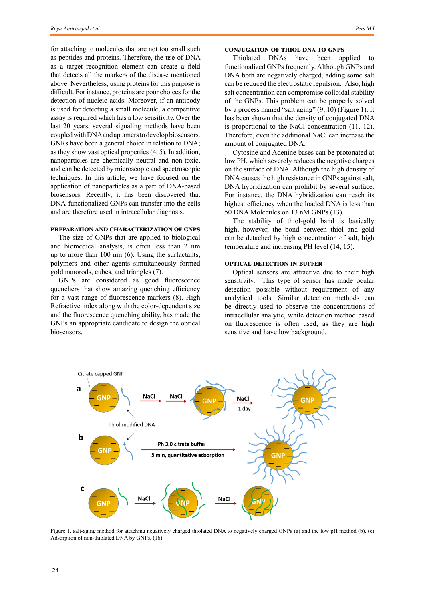for attaching to molecules that are not too small such as peptides and proteins. Therefore, the use of DNA as a target recognition element can create a field that detects all the markers of the disease mentioned above. Nevertheless, using proteins for this purpose is difficult. For instance, proteins are poor choices for the detection of nucleic acids. Moreover, if an antibody is used for detecting a small molecule, a competitive assay is required which has a low sensitivity. Over the last 20 years, several signaling methods have been coupled with DNA and aptamers to develop biosensors. GNRs have been a general choice in relation to DNA; as they show vast optical properties (4, 5). In addition, nanoparticles are chemically neutral and non-toxic, and can be detected by microscopic and spectroscopic techniques. In this article, we have focused on the application of nanoparticles as a part of DNA-based biosensors. Recently, it has been discovered that DNA-functionalized GNPs can transfer into the cells and are therefore used in intracellular diagnosis.

#### **Preparation and characterization of GNPs**

The size of GNPs that are applied to biological and biomedical analysis, is often less than 2 nm up to more than 100 nm (6). Using the surfactants, polymers and other agents simultaneously formed gold nanorods, cubes, and triangles (7).

GNPs are considered as good fluorescence quenchers that show amazing quenching efficiency for a vast range of fluorescence markers (8). High Refractive index along with the color-dependent size and the fluorescence quenching ability, has made the GNPs an appropriate candidate to design the optical biosensors.

## **Conjugation of thiol DNA to GNPs**

Thiolated DNAs have been applied to functionalized GNPs frequently. Although GNPs and DNA both are negatively charged, adding some salt can be reduced the electrostatic repulsion. Also, high salt concentration can compromise colloidal stability of the GNPs. This problem can be properly solved by a process named "salt aging" (9, 10) (Figure 1). It has been shown that the density of conjugated DNA is proportional to the NaCl concentration (11, 12). Therefore, even the additional NaCl can increase the amount of conjugated DNA.

Cytosine and Adenine bases can be protonated at low PH, which severely reduces the negative charges on the surface of DNA. Although the high density of DNA causes the high resistance in GNPs against salt, DNA hybridization can prohibit by several surface. For instance, the DNA hybridization can reach its highest efficiency when the loaded DNA is less than 50 DNA Molecules on 13 nM GNPs (13).

The stability of thiol-gold band is basically high, however, the bond between thiol and gold can be detached by high concentration of salt, high temperature and increasing PH level (14, 15).

#### **Optical detection in buffer**

Optical sensors are attractive due to their high sensitivity. This type of sensor has made ocular detection possible without requirement of any analytical tools. Similar detection methods can be directly used to observe the concentrations of intracellular analytic, while detection method based on fluorescence is often used, as they are high sensitive and have low background.



Figure 1. salt-aging method for attaching negatively charged thiolated DNA to negatively charged GNPs (a) and the low pH method (b). (c) Adsorption of non-thiolated DNA by GNPs. (16)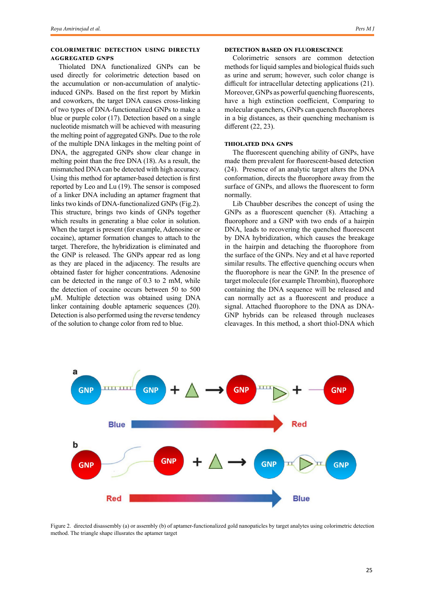## **Colorimetric detection using directly aggregated GNPs**

Thiolated DNA functionalized GNPs can be used directly for colorimetric detection based on the accumulation or non-accumulation of analyticinduced GNPs. Based on the first report by Mirkin and coworkers, the target DNA causes cross-linking of two types of DNA-functionalized GNPs to make a blue or purple color (17). Detection based on a single nucleotide mismatch will be achieved with measuring the melting point of aggregated GNPs. Due to the role of the multiple DNA linkages in the melting point of DNA, the aggregated GNPs show clear change in melting point than the free DNA (18). As a result, the mismatched DNA can be detected with high accuracy. Using this method for aptamer-based detection is first reported by Leo and Lu (19). The sensor is composed of a linker DNA including an aptamer fragment that links two kinds of DNA-functionalized GNPs (Fig.2). This structure, brings two kinds of GNPs together which results in generating a blue color in solution. When the target is present (for example, Adenosine or cocaine), aptamer formation changes to attach to the target. Therefore, the hybridization is eliminated and the GNP is released. The GNPs appear red as long as they are placed in the adjacency. The results are obtained faster for higher concentrations. Adenosine can be detected in the range of 0.3 to 2 mM, while the detection of cocaine occurs between 50 to 500 µM. Multiple detection was obtained using DNA linker containing double aptameric sequences (20). Detection is also performed using the reverse tendency of the solution to change color from red to blue.

## **Detection based on Fluorescence**

Colorimetric sensors are common detection methods for liquid samples and biological fluids such as urine and serum; however, such color change is difficult for intracellular detecting applications (21). Moreover, GNPs as powerful quenching fluorescents, have a high extinction coefficient, Comparing to molecular quenchers, GNPs can quench fluorophores in a big distances, as their quenching mechanism is different (22, 23).

## **Thiolated DNA GNPs**

The fluorescent quenching ability of GNPs, have made them prevalent for fluorescent-based detection (24). Presence of an analytic target alters the DNA conformation, directs the fluorophore away from the surface of GNPs, and allows the fluorescent to form normally.

Lib Chaubber describes the concept of using the GNPs as a fluorescent quencher (8). Attaching a fluorophore and a GNP with two ends of a hairpin DNA, leads to recovering the quenched fluorescent by DNA hybridization, which causes the breakage in the hairpin and detaching the fluorophore from the surface of the GNPs. Ney and et al have reported similar results. The effective quenching occurs when the fluorophore is near the GNP. In the presence of target molecule (for example Thrombin), fluorophore containing the DNA sequence will be released and can normally act as a fluorescent and produce a signal. Attached fluorophore to the DNA as DNA-GNP hybrids can be released through nucleases cleavages. In this method, a short thiol-DNA which



Figure 2. directed disassembly (a) or assembly (b) of aptamer-functionalized gold nanopaticles by target analytes using colorimetric detection method. The triangle shape illusrates the aptamer target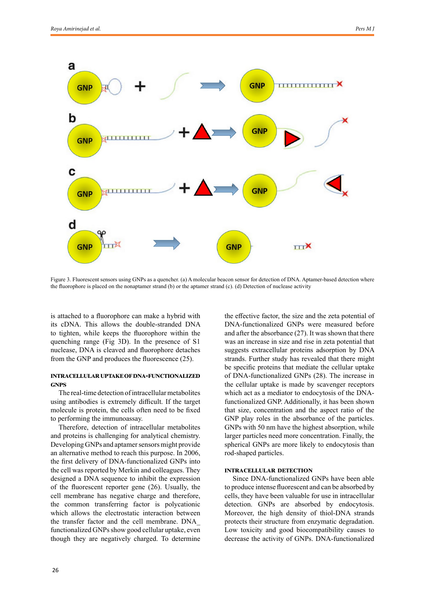

Figure 3. Fluorescent sensors using GNPs as a quencher. (a) A molecular beacon sensor for detection of DNA. Aptamer-based detection where the fluorophore is placed on the nonaptamer strand (b) or the aptamer strand (c). (d) Detection of nuclease activity

is attached to a fluorophore can make a hybrid with its cDNA. This allows the double-stranded DNA to tighten, while keeps the fluorophore within the quenching range (Fig 3D). In the presence of S1 nuclease, DNA is cleaved and fluorophore detaches from the GNP and produces the fluorescence (25).

### **Intracellular uptake of DNA-functionalized GNPs**

The real-time detection of intracellular metabolites using antibodies is extremely difficult. If the target molecule is protein, the cells often need to be fixed to performing the immunoassay.

Therefore, detection of intracellular metabolites and proteins is challenging for analytical chemistry. Developing GNPs and aptamer sensors might provide an alternative method to reach this purpose. In 2006, the first delivery of DNA-functionalized GNPs into the cell was reported by Merkin and colleagues. They designed a DNA sequence to inhibit the expression of the fluorescent reporter gene (26). Usually, the cell membrane has negative charge and therefore, the common transferring factor is polycationic which allows the electrostatic interaction between the transfer factor and the cell membrane. DNA\_ functionalized GNPs show good cellular uptake, even though they are negatively charged. To determine

the effective factor, the size and the zeta potential of DNA-functionalized GNPs were measured before and after the absorbance (27). It was shown that there was an increase in size and rise in zeta potential that suggests extracellular proteins adsorption by DNA strands. Further study has revealed that there might be specific proteins that mediate the cellular uptake of DNA-functionalized GNPs (28). The increase in the cellular uptake is made by scavenger receptors which act as a mediator to endocytosis of the DNAfunctionalized GNP. Additionally, it has been shown that size, concentration and the aspect ratio of the GNP play roles in the absorbance of the particles. GNPs with 50 nm have the highest absorption, while larger particles need more concentration. Finally, the spherical GNPs are more likely to endocytosis than rod-shaped particles.

#### **Intracellular detection**

Since DNA-functionalized GNPs have been able to produce intense fluorescent and can be absorbed by cells, they have been valuable for use in intracellular detection. GNPs are absorbed by endocytosis. Moreover, the high density of thiol-DNA strands protects their structure from enzymatic degradation. Low toxicity and good biocompatibility causes to decrease the activity of GNPs. DNA-functionalized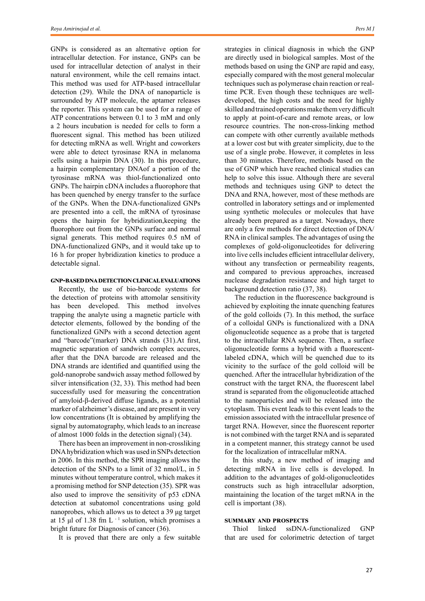GNPs is considered as an alternative option for intracellular detection. For instance, GNPs can be used for intracellular detection of analyst in their natural environment, while the cell remains intact. This method was used for ATP-based intracellular detection (29). While the DNA of nanoparticle is surrounded by ATP molecule, the aptamer releases the reporter. This system can be used for a range of ATP concentrations between 0.1 to 3 mM and only a 2 hours incubation is needed for cells to form a fluorescent signal. This method has been utilized for detecting mRNA as well. Wright and coworkers were able to detect tyrosinase RNA in melanoma cells using a hairpin DNA (30). In this procedure, a hairpin complementary DNAof a portion of the tyrosinase mRNA was thiol-functionalized onto GNPs. The hairpin cDNA includes a fluorophore that has been quenched by energy transfer to the surface of the GNPs. When the DNA-functionalized GNPs are presented into a cell, the mRNA of tyrosinase opens the hairpin for hybridization,keeping the fluorophore out from the GNPs surface and normal signal generats. This method requires 0.5 nM of DNA-functionalized GNPs, and it would take up to 16 h for proper hybridization kinetics to produce a detectable signal.

#### **GNP-based DNA detection clinical evaluations**

Recently, the use of bio-barcode systems for the detection of proteins with attomolar sensitivity has been developed. This method involves trapping the analyte using a magnetic particle with detector elements, followed by the bonding of the functionalized GNPs with a second detection agent and "barcode"(marker) DNA strands (31).At first, magnetic separation of sandwich complex accures, after that the DNA barcode are released and the DNA strands are identified and quantified using the gold-nanoprobe sandwich assay method followed by silver intensification (32, 33). This method had been successfully used for measuring the concentration of amyloid-β-derived diffuse ligands, as a potential marker of alzheimer's disease, and are present in very low concentrations (It is obtained by amplifying the signal by automatography, which leads to an increase of almost 1000 folds in the detection signal) (34).

There has been an improvement in non-crossliking DNA hybridization which was used in SNPs detection in 2006. In this method, the SPR imaging allows the detection of the SNPs to a limit of 32 nmol/L, in 5 minutes without temperature control, which makes it a promising method for SNP detection (35). SPR was also used to improve the sensitivity of p53 cDNA detection at subatomol concentrations using gold nanoprobes, which allows us to detect a 39 μg target at 15 μl of 1.38 fm L $^{-1}$  solution, which promises a bright future for Diagnosis of cancer (36).

It is proved that there are only a few suitable

strategies in clinical diagnosis in which the GNP are directly used in biological samples. Most of the methods based on using the GNP are rapid and easy, especially compared with the most general molecular techniques such as polymerase chain reaction or realtime PCR. Even though these techniques are welldeveloped, the high costs and the need for highly skilled and trained operations make them very difficult to apply at point-of-care and remote areas, or low resource countries. The non-cross-linking method can compete with other currently available methods at a lower cost but with greater simplicity, due to the use of a single probe. However, it completes in less than 30 minutes. Therefore, methods based on the use of GNP which have reached clinical studies can help to solve this issue. Although there are several methods and techniques using GNP to detect the DNA and RNA, however, most of these methods are controlled in laboratory settings and or implemented using synthetic molecules or molecules that have already been prepared as a target. Nowadays, there are only a few methods for direct detection of DNA/ RNA in clinical samples. The advantages of using the complexes of gold-oligonucleotides for delivering into live cells includes efficient intracellular delivery, without any transfection or permeability reagents, and compared to previous approaches, increased nuclease degradation resistance and high target to background detection ratio (37, 38).

 The reduction in the fluorescence background is achieved by exploiting the innate quenching features of the gold colloids (7). In this method, the surface of a colloidal GNPs is functionalized with a DNA oligonucleotide sequence as a probe that is targeted to the intracellular RNA sequence. Then, a surface oligonucleotide forms a hybrid with a fluorescentlabeled cDNA, which will be quenched due to its vicinity to the surface of the gold colloid will be quenched. After the intracellular hybridization of the construct with the target RNA, the fluorescent label strand is separated from the oligonucleotide attached to the nanoparticles and will be released into the cytoplasm. This event leads to this event leads to the emission associated with the intracellular presence of target RNA. However, since the fluorescent reporter is not combined with the target RNA and is separated in a competent manner, this strategy cannot be used for the localization of intracellular mRNA.

In this study, a new method of imaging and detecting mRNA in live cells is developed. In addition to the advantages of gold-oligonucleotides constructs such as high intracellular adsorption, maintaining the location of the target mRNA in the cell is important (38).

### **Summary and prospects**

Thiol linked ssDNA-functionalized GNP that are used for colorimetric detection of target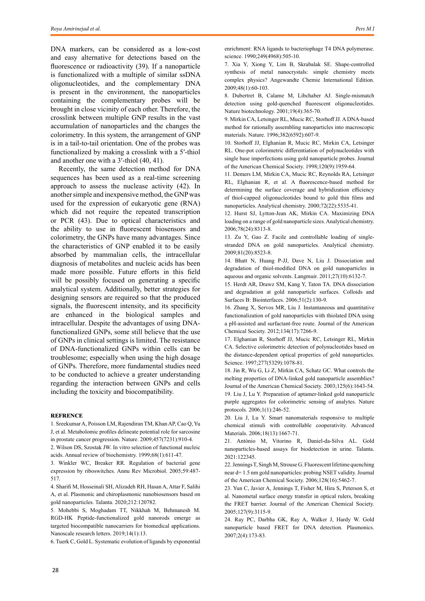DNA markers, can be considered as a low-cost and easy alternative for detections based on the fluorescence or radioactivity (39). If a nanoparticle is functionalized with a multiple of similar ssDNA oligonucleotides, and the complementary DNA is present in the environment, the nanoparticles containing the complementary probes will be brought in close vicinity of each other. Therefore, the crosslink between multiple GNP results in the vast accumulation of nanoparticles and the changes the colorimetry. In this system, the arrangement of GNP is in a tail-to-tail orientation. One of the probes was functionalized by making a crosslink with a 5′-thiol and another one with a 3′-thiol (40, 41).

Recently, the same detection method for DNA sequences has been used as a real-time screening approach to assess the nuclease activity (42). In another simple and inexpensive method, the GNP was used for the expression of eukaryotic gene (RNA) which did not require the repeated transcription or PCR (43). Due to optical characteristics and the ability to use in fluorescent biosensors and colorimetry, the GNPs have many advantages. Since the characteristics of GNP enabled it to be easily absorbed by mammalian cells, the intracellular diagnosis of metabolites and nucleic acids has been made more possible. Future efforts in this field will be possibly focused on generating a specific analytical system. Additionally, better strategies for designing sensors are required so that the produced signals, the fluorescent intensity, and its specificity are enhanced in the biological samples and intracellular. Despite the advantages of using DNAfunctionalized GNPs, some still believe that the use of GNPs in clinical settings is limited. The resistance of DNA-functionalized GNPs within cells can be troublesome; especially when using the high dosage of GNPs. Therefore, more fundamental studies need to be conducted to achieve a greater understanding regarding the interaction between GNPs and cells including the toxicity and biocompatibility.

#### **REFRENCE**

1. Sreekumar A, Poisson LM, Rajendiran TM, Khan AP, Cao Q, Yu J, et al. Metabolomic profiles delineate potential role for sarcosine in prostate cancer progression. Nature. 2009;457(7231):910-4.

2. Wilson DS, Szostak JW. In vitro selection of functional nucleic acids. Annual review of biochemistry. 1999;68(1):611-47.

3. Winkler WC, Breaker RR. Regulation of bacterial gene expression by riboswitches. Annu Rev Microbiol. 2005;59:487- 517.

4. Sharifi M, Hosseinali SH, Alizadeh RH, Hasan A, Attar F, Salihi A, et al. Plasmonic and chiroplasmonic nanobiosensors based on gold nanoparticles. Talanta. 2020;212:120782.

5. Mohebbi S, Moghadam TT, Nikkhah M, Behmanesh M. RGD-HK Peptide-functionalized gold nanorods emerge as targeted biocompatible nanocarriers for biomedical applications. Nanoscale research letters. 2019;14(1):13.

6. Tuerk C, Gold L. Systematic evolution of ligands by exponential

enrichment: RNA ligands to bacteriophage T4 DNA polymerase. science. 1990;249(4968):505-10.

7. Xia Y, Xiong Y, Lim B, Skrabalak SE. Shape‐controlled synthesis of metal nanocrystals: simple chemistry meets complex physics? Angewandte Chemie International Edition. 2009;48(1):60-103.

8. Dubertret B, Calame M, Libchaber AJ. Single-mismatch detection using gold-quenched fluorescent oligonucleotides. Nature biotechnology. 2001;19(4):365-70.

9. Mirkin CA, Letsinger RL, Mucic RC, Storhoff JJ. A DNA-based method for rationally assembling nanoparticles into macroscopic materials. Nature. 1996;382(6592):607-9.

10. Storhoff JJ, Elghanian R, Mucic RC, Mirkin CA, Letsinger RL. One-pot colorimetric differentiation of polynucleotides with single base imperfections using gold nanoparticle probes. Journal of the American Chemical Society. 1998;120(9):1959-64.

11. Demers LM, Mirkin CA, Mucic RC, Reynolds RA, Letsinger RL, Elghanian R, et al. A fluorescence-based method for determining the surface coverage and hybridization efficiency of thiol-capped oligonucleotides bound to gold thin films and nanoparticles. Analytical chemistry. 2000;72(22):5535-41.

12. Hurst SJ, Lytton-Jean AK, Mirkin CA. Maximizing DNA loading on a range of gold nanoparticle sizes. Analytical chemistry. 2006;78(24):8313-8.

13. Zu Y, Gao Z. Facile and controllable loading of singlestranded DNA on gold nanoparticles. Analytical chemistry. 2009;81(20):8523-8.

14. Bhatt N, Huang P-JJ, Dave N, Liu J. Dissociation and degradation of thiol-modified DNA on gold nanoparticles in aqueous and organic solvents. Langmuir. 2011;27(10):6132-7.

15. Herdt AR, Drawz SM, Kang Y, Taton TA. DNA dissociation and degradation at gold nanoparticle surfaces. Colloids and Surfaces B: Biointerfaces. 2006;51(2):130-9.

16. Zhang X, Servos MR, Liu J. Instantaneous and quantitative functionalization of gold nanoparticles with thiolated DNA using a pH-assisted and surfactant-free route. Journal of the American Chemical Society. 2012;134(17):7266-9.

17. Elghanian R, Storhoff JJ, Mucic RC, Letsinger RL, Mirkin CA. Selective colorimetric detection of polynucleotides based on the distance-dependent optical properties of gold nanoparticles. Science. 1997;277(5329):1078-81.

18. Jin R, Wu G, Li Z, Mirkin CA, Schatz GC. What controls the melting properties of DNA-linked gold nanoparticle assemblies? Journal of the American Chemical Society. 2003;125(6):1643-54. 19. Liu J, Lu Y. Preparation of aptamer-linked gold nanoparticle purple aggregates for colorimetric sensing of analytes. Nature protocols. 2006;1(1):246-52.

20. Liu J, Lu Y. Smart nanomaterials responsive to multiple chemical stimuli with controllable cooperativity. Advanced Materials. 2006;18(13):1667-71.

21. António M, Vitorino R, Daniel-da-Silva AL. Gold nanoparticles-based assays for biodetection in urine. Talanta. 2021:122345.

22. Jennings T, Singh M, Strouse G. Fluorescent lifetime quenching near d= 1.5 nm gold nanoparticles: probing NSET validity. Journal of the American Chemical Society. 2006;128(16):5462-7.

23. Yun C, Javier A, Jennings T, Fisher M, Hira S, Peterson S, et al. Nanometal surface energy transfer in optical rulers, breaking the FRET barrier. Journal of the American Chemical Society. 2005;127(9):3115-9.

24. Ray PC, Darbha GK, Ray A, Walker J, Hardy W. Gold nanoparticle based FRET for DNA detection. Plasmonics. 2007;2(4):173-83.